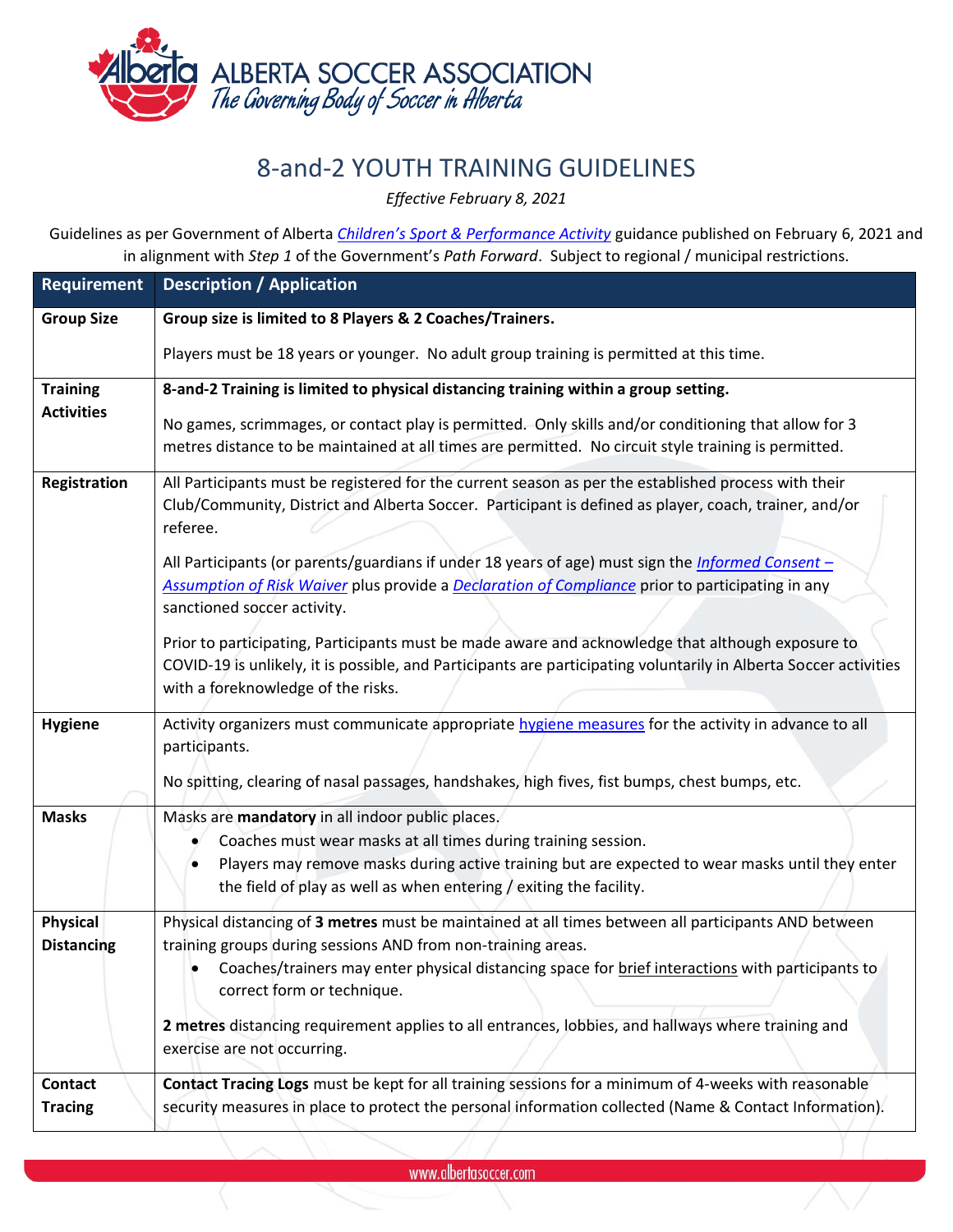

## 8-and-2 YOUTH TRAINING GUIDELINES

*Effective February 8, 2021*

Guidelines as per Government of Alberta *[Children's Sport & Performance Activity](https://www.alberta.ca/enhanced-public-health-measures.aspx)* guidance published on February 6, 2021 and in alignment with *Step 1* of the Government's *Path Forward*. Subject to regional / municipal restrictions.

| <b>Requirement</b>               | <b>Description / Application</b>                                                                                                                                                                                                                                                                                                                                                                                                                                                                                                                                              |
|----------------------------------|-------------------------------------------------------------------------------------------------------------------------------------------------------------------------------------------------------------------------------------------------------------------------------------------------------------------------------------------------------------------------------------------------------------------------------------------------------------------------------------------------------------------------------------------------------------------------------|
| <b>Group Size</b>                | Group size is limited to 8 Players & 2 Coaches/Trainers.                                                                                                                                                                                                                                                                                                                                                                                                                                                                                                                      |
|                                  | Players must be 18 years or younger. No adult group training is permitted at this time.                                                                                                                                                                                                                                                                                                                                                                                                                                                                                       |
| <b>Training</b>                  | 8-and-2 Training is limited to physical distancing training within a group setting.                                                                                                                                                                                                                                                                                                                                                                                                                                                                                           |
| <b>Activities</b>                | No games, scrimmages, or contact play is permitted. Only skills and/or conditioning that allow for 3<br>metres distance to be maintained at all times are permitted. No circuit style training is permitted.                                                                                                                                                                                                                                                                                                                                                                  |
| <b>Registration</b>              | All Participants must be registered for the current season as per the established process with their<br>Club/Community, District and Alberta Soccer. Participant is defined as player, coach, trainer, and/or<br>referee.<br>All Participants (or parents/guardians if under 18 years of age) must sign the <i>Informed Consent</i> -<br>Assumption of Risk Waiver plus provide a Declaration of Compliance prior to participating in any<br>sanctioned soccer activity.<br>Prior to participating, Participants must be made aware and acknowledge that although exposure to |
|                                  | COVID-19 is unlikely, it is possible, and Participants are participating voluntarily in Alberta Soccer activities<br>with a foreknowledge of the risks.                                                                                                                                                                                                                                                                                                                                                                                                                       |
| <b>Hygiene</b>                   | Activity organizers must communicate appropriate hygiene measures for the activity in advance to all<br>participants.<br>No spitting, clearing of nasal passages, handshakes, high fives, fist bumps, chest bumps, etc.                                                                                                                                                                                                                                                                                                                                                       |
| <b>Masks</b>                     | Masks are mandatory in all indoor public places.<br>Coaches must wear masks at all times during training session.<br>Players may remove masks during active training but are expected to wear masks until they enter<br>the field of play as well as when entering / exiting the facility.                                                                                                                                                                                                                                                                                    |
| Physical<br><b>Distancing</b>    | Physical distancing of 3 metres must be maintained at all times between all participants AND between<br>training groups during sessions AND from non-training areas.<br>Coaches/trainers may enter physical distancing space for brief interactions with participants to<br>correct form or technique.<br>2 metres distancing requirement applies to all entrances, lobbies, and hallways where training and<br>exercise are not occurring.                                                                                                                                   |
| <b>Contact</b><br><b>Tracing</b> | Contact Tracing Logs must be kept for all training sessions for a minimum of 4-weeks with reasonable<br>security measures in place to protect the personal information collected (Name & Contact Information).                                                                                                                                                                                                                                                                                                                                                                |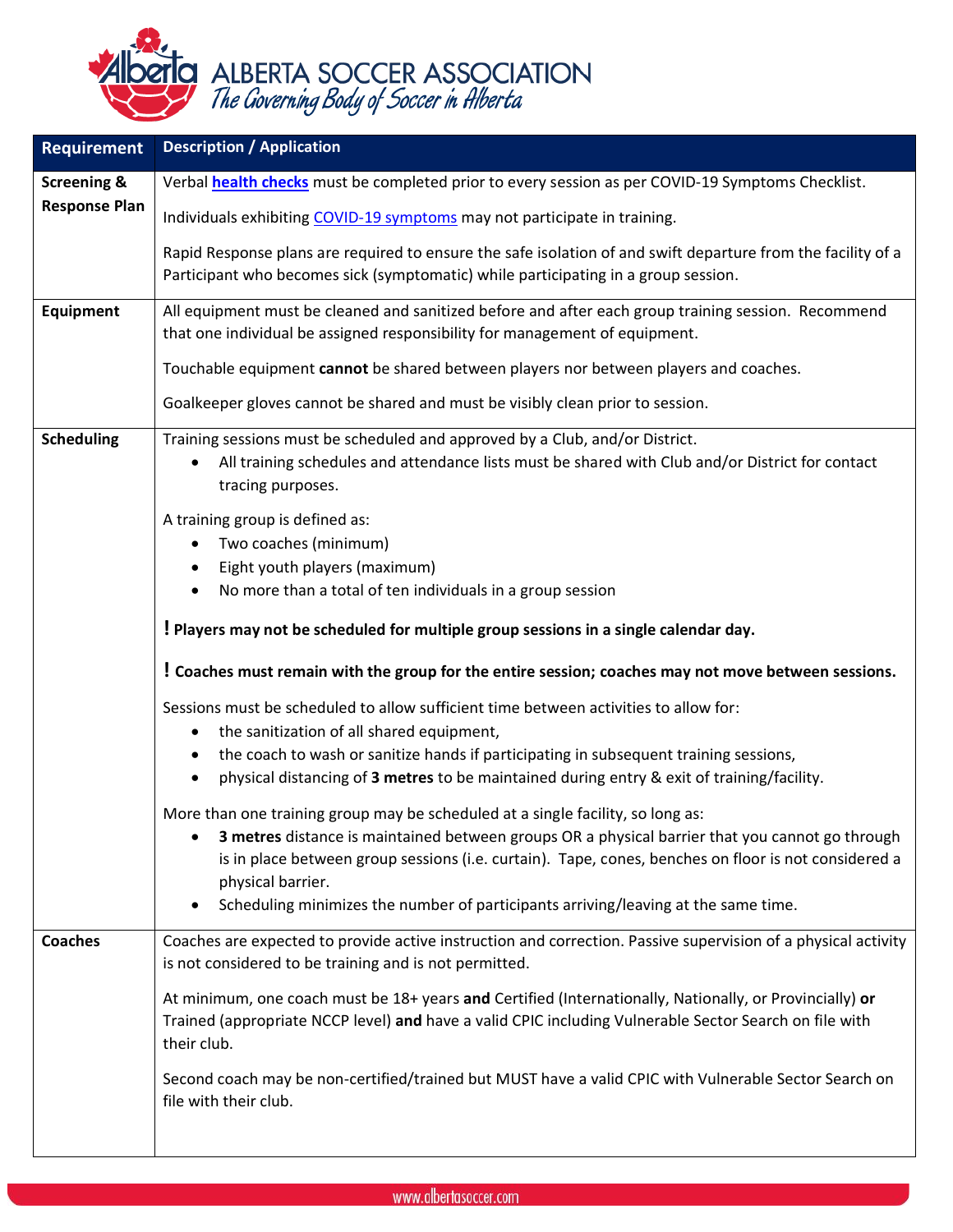

| <b>Requirement</b>     | <b>Description / Application</b>                                                                                                                                                                                                 |
|------------------------|----------------------------------------------------------------------------------------------------------------------------------------------------------------------------------------------------------------------------------|
| <b>Screening &amp;</b> | Verbal health checks must be completed prior to every session as per COVID-19 Symptoms Checklist.                                                                                                                                |
| <b>Response Plan</b>   | Individuals exhibiting COVID-19 symptoms may not participate in training.                                                                                                                                                        |
|                        | Rapid Response plans are required to ensure the safe isolation of and swift departure from the facility of a<br>Participant who becomes sick (symptomatic) while participating in a group session.                               |
| <b>Equipment</b>       | All equipment must be cleaned and sanitized before and after each group training session. Recommend<br>that one individual be assigned responsibility for management of equipment.                                               |
|                        | Touchable equipment cannot be shared between players nor between players and coaches.                                                                                                                                            |
|                        | Goalkeeper gloves cannot be shared and must be visibly clean prior to session.                                                                                                                                                   |
| <b>Scheduling</b>      | Training sessions must be scheduled and approved by a Club, and/or District.<br>All training schedules and attendance lists must be shared with Club and/or District for contact<br>tracing purposes.                            |
|                        | A training group is defined as:                                                                                                                                                                                                  |
|                        | Two coaches (minimum)<br>Eight youth players (maximum)                                                                                                                                                                           |
|                        | No more than a total of ten individuals in a group session                                                                                                                                                                       |
|                        | ! Players may not be scheduled for multiple group sessions in a single calendar day.                                                                                                                                             |
|                        | ! Coaches must remain with the group for the entire session; coaches may not move between sessions.                                                                                                                              |
|                        | Sessions must be scheduled to allow sufficient time between activities to allow for:                                                                                                                                             |
|                        | the sanitization of all shared equipment,<br>$\bullet$                                                                                                                                                                           |
|                        | the coach to wash or sanitize hands if participating in subsequent training sessions,<br>$\bullet$<br>physical distancing of 3 metres to be maintained during entry & exit of training/facility.                                 |
|                        | More than one training group may be scheduled at a single facility, so long as:                                                                                                                                                  |
|                        | 3 metres distance is maintained between groups OR a physical barrier that you cannot go through<br>is in place between group sessions (i.e. curtain). Tape, cones, benches on floor is not considered a<br>physical barrier.     |
|                        | Scheduling minimizes the number of participants arriving/leaving at the same time.<br>$\bullet$                                                                                                                                  |
| <b>Coaches</b>         | Coaches are expected to provide active instruction and correction. Passive supervision of a physical activity<br>is not considered to be training and is not permitted.                                                          |
|                        | At minimum, one coach must be 18+ years and Certified (Internationally, Nationally, or Provincially) or<br>Trained (appropriate NCCP level) and have a valid CPIC including Vulnerable Sector Search on file with<br>their club. |
|                        | Second coach may be non-certified/trained but MUST have a valid CPIC with Vulnerable Sector Search on<br>file with their club.                                                                                                   |
|                        |                                                                                                                                                                                                                                  |